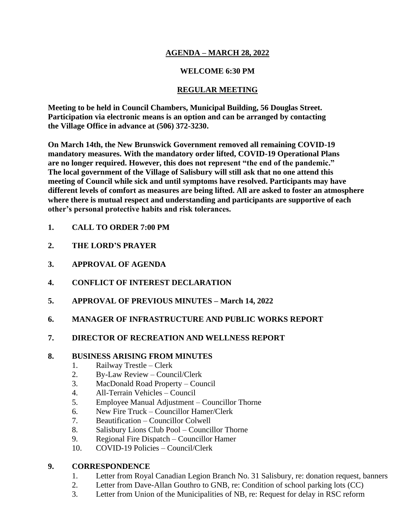# **AGENDA – MARCH 28, 2022**

# **WELCOME 6:30 PM**

# **REGULAR MEETING**

**Meeting to be held in Council Chambers, Municipal Building, 56 Douglas Street. Participation via electronic means is an option and can be arranged by contacting the Village Office in advance at (506) 372-3230.**

**On March 14th, the New Brunswick Government removed all remaining COVID-19 mandatory measures. With the mandatory order lifted, COVID-19 Operational Plans are no longer required. However, this does not represent "the end of the pandemic." The local government of the Village of Salisbury will still ask that no one attend this meeting of Council while sick and until symptoms have resolved. Participants may have different levels of comfort as measures are being lifted. All are asked to foster an atmosphere where there is mutual respect and understanding and participants are supportive of each other's personal protective habits and risk tolerances.**

- **1. CALL TO ORDER 7:00 PM**
- **2. THE LORD'S PRAYER**
- **3. APPROVAL OF AGENDA**
- **4. CONFLICT OF INTEREST DECLARATION**
- **5. APPROVAL OF PREVIOUS MINUTES – March 14, 2022**
- **6. MANAGER OF INFRASTRUCTURE AND PUBLIC WORKS REPORT**

### **7. DIRECTOR OF RECREATION AND WELLNESS REPORT**

#### **8. BUSINESS ARISING FROM MINUTES**

- 1. Railway Trestle Clerk
- 2. By-Law Review Council/Clerk
- 3. MacDonald Road Property Council
- 4. All-Terrain Vehicles Council
- 5. Employee Manual Adjustment Councillor Thorne
- 6. New Fire Truck Councillor Hamer/Clerk
- 7. Beautification Councillor Colwell
- 8. Salisbury Lions Club Pool Councillor Thorne
- 9. Regional Fire Dispatch Councillor Hamer
- 10. COVID-19 Policies Council/Clerk

### **9. CORRESPONDENCE**

- 1. Letter from Royal Canadian Legion Branch No. 31 Salisbury, re: donation request, banners
- 2. Letter from Dave-Allan Gouthro to GNB, re: Condition of school parking lots (CC)
- 3. Letter from Union of the Municipalities of NB, re: Request for delay in RSC reform